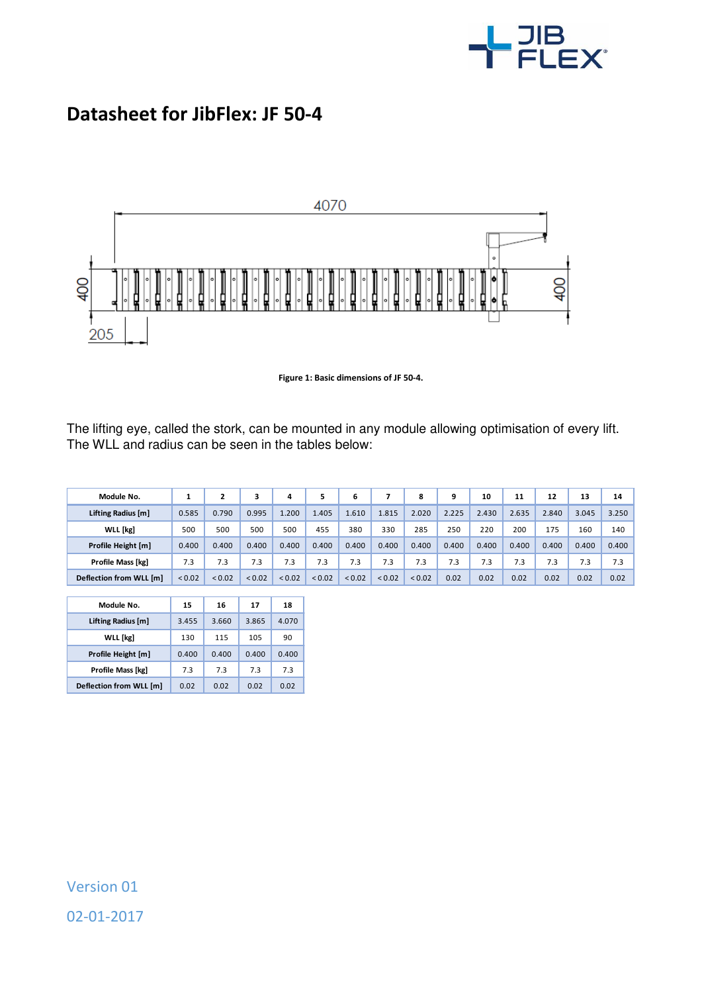

## **Datasheet for JibFlex: JF 50-4**



**Figure 1: Basic dimensions of JF 50-4.** 

The lifting eye, called the stork, can be mounted in any module allowing optimisation of every lift. The WLL and radius can be seen in the tables below:

| Module No.              |        |             |             | 4      | 5           | 6      |             | 8           | 9     | 10    | 11    | 12    | 13    | 14    |
|-------------------------|--------|-------------|-------------|--------|-------------|--------|-------------|-------------|-------|-------|-------|-------|-------|-------|
| Lifting Radius [m]      | 0.585  | 0.790       | 0.995       | 1.200  | 1.405       | 1.610  | 1.815       | 2.020       | 2.225 | 2.430 | 2.635 | 2.840 | 3.045 | 3.250 |
| WLL [kg]                | 500    | 500         | 500         | 500    | 455         | 380    | 330         | 285         | 250   | 220   | 200   | 175   | 160   | 140   |
| Profile Height [m]      | 0.400  | 0.400       | 0.400       | 0.400  | 0.400       | 0.400  | 0.400       | 0.400       | 0.400 | 0.400 | 0.400 | 0.400 | 0.400 | 0.400 |
| Profile Mass [kg]       | 7.3    | 7.3         | 7.3         | 7.3    | 7.3         | 7.3    | 7.3         | 7.3         | 7.3   | 7.3   | 7.3   | 7.3   | 7.3   | 7.3   |
| Deflection from WLL [m] | < 0.02 | ${}_{0.02}$ | ${}_{0.02}$ | < 0.02 | ${}_{0.02}$ | < 0.02 | ${}_{0.02}$ | ${}_{0.02}$ | 0.02  | 0.02  | 0.02  | 0.02  | 0.02  | 0.02  |

I

| Module No.              | 15    | 16    | 17    | 18    |
|-------------------------|-------|-------|-------|-------|
| Lifting Radius [m]      | 3.455 | 3.660 | 3.865 | 4.070 |
| <b>WLL</b> [kg]         | 130   | 115   | 105   | 90    |
| Profile Height [m]      | 0.400 | 0.400 | 0.400 | 0.400 |
| Profile Mass [kg]       | 7.3   | 73    | 7.3   | 7.3   |
| Deflection from WLL [m] | 0.02  | 0.02  | 0.02  | 0.02  |